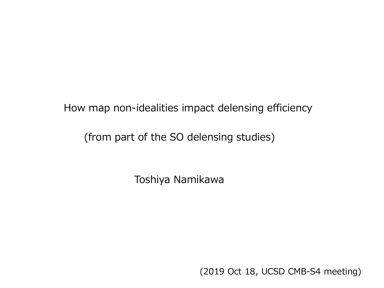How map non-idealities impact delensing efficiency

(from part of the SO delensing studies)

Toshiya Namikawa

(2019 Oct 18, UCSD CMB-S4 meeting)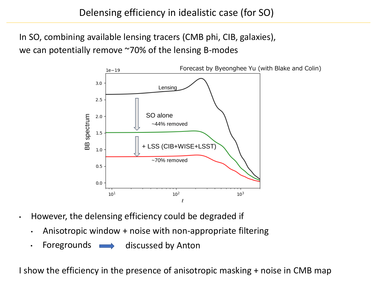In SO, combining available lensing tracers (CMB phi, CIB, galaxies), we can potentially remove ~70% of the lensing B-modes



- However, the delensing efficiency could be degraded if
	- Anisotropic window + noise with non-appropriate filtering
	- Foregrounds  $\longrightarrow$ discussed by Anton

I show the efficiency in the presence of anisotropic masking + noise in CMB map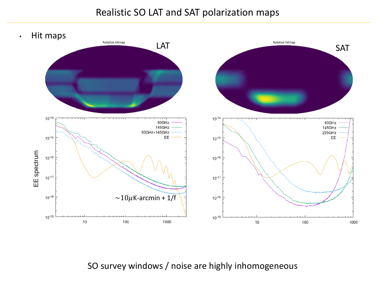## Realistic SO LAT and SAT polarization maps



SO survey windows / noise are highly inhomogeneous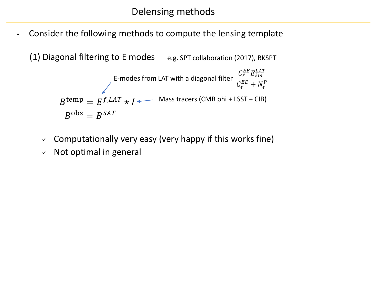• Consider the following methods to compute the lensing template

(1) Diagonal filtering to E modes e.g. SPT collaboration (2017), BKSPT

$$
E\text{-modes from LAT with a diagonal filter } \frac{C_{\ell}^{EE} E_{\ell m}^{LAT}}{C_{\ell}^{EE} + N_{\ell}^{P}}
$$
\n
$$
B^{\text{temp}} = E^{f,LAT} \star I \longleftarrow \text{ Mass tracers (CMB phi + LSST + CIB)}
$$
\n
$$
B^{\text{obs}} = B^{SAT}
$$

- $\checkmark$  Computationally very easy (very happy if this works fine)
- $\times$  Not optimal in general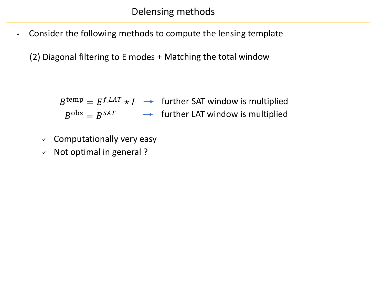• Consider the following methods to compute the lensing template

(2) Diagonal filtering to E modes + Matching the total window

 $B^{\text{temp}} = E^{f, LAT} \star I \ \ \rightarrow \ \ \text{further SAT window is multiplied}$  $B^{\text{obs}} = B^{SAT}$   $\longrightarrow$  further LAT window is multiplied

- $\checkmark$  Computationally very easy
- ✓ Not optimal in general ?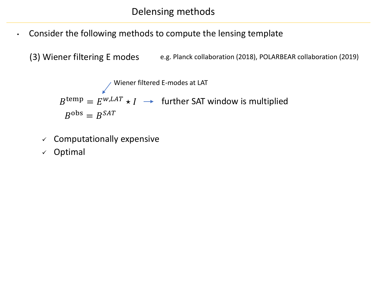- Consider the following methods to compute the lensing template
	- (3) Wiener filtering E modes e.g. Planck collaboration (2018), POLARBEAR collaboration (2019)

 $B^{\text{temp}} = E^{w, LAT} \star I \ \rightarrow \ \text{ further SAT window is multiplied}$  $B^{\text{obs}} = B^{SAT}$ Wiener filtered E-modes at LAT

- $\checkmark$  Computationally expensive
- ✓ Optimal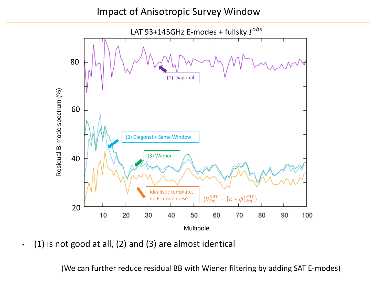## Impact of Anisotropic Survey Window



 $\cdot$  (1) is not good at all, (2) and (3) are almost identical

(We can further reduce residual BB with Wiener filtering by adding SAT E-modes)